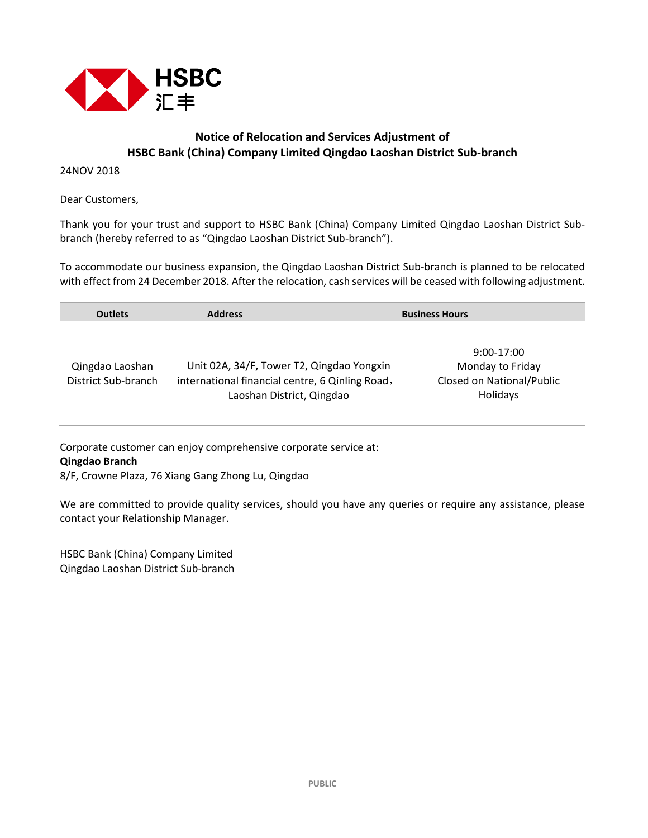

## **Notice of Relocation and Services Adjustment of HSBC Bank (China) Company Limited Qingdao Laoshan District Sub-branch**

24NOV 2018

Dear Customers,

Thank you for your trust and support to HSBC Bank (China) Company Limited Qingdao Laoshan District Subbranch (hereby referred to as "Qingdao Laoshan District Sub-branch").

To accommodate our business expansion, the Qingdao Laoshan District Sub-branch is planned to be relocated with effect from 24 December 2018. After the relocation, cash services will be ceased with following adjustment.

| <b>Outlets</b>                         | <b>Address</b>                                                                                                            | <b>Business Hours</b>                                                     |  |  |
|----------------------------------------|---------------------------------------------------------------------------------------------------------------------------|---------------------------------------------------------------------------|--|--|
| Qingdao Laoshan<br>District Sub-branch | Unit 02A, 34/F, Tower T2, Qingdao Yongxin<br>international financial centre, 6 Qinling Road,<br>Laoshan District, Qingdao | $9:00-17:00$<br>Monday to Friday<br>Closed on National/Public<br>Holidays |  |  |

Corporate customer can enjoy comprehensive corporate service at: **Qingdao Branch** 

8/F, Crowne Plaza, 76 Xiang Gang Zhong Lu, Qingdao

We are committed to provide quality services, should you have any queries or require any assistance, please contact your Relationship Manager.

HSBC Bank (China) Company Limited Qingdao Laoshan District Sub-branch